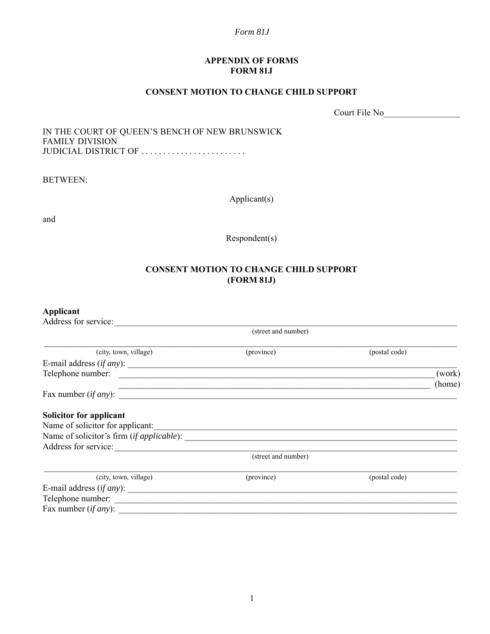#### *Form 81J*

### **APPENDIX OF FORMS FORM 81J**

### **CONSENT MOTION TO CHANGE CHILD SUPPORT**

Court File No\_\_\_\_\_\_\_\_\_\_\_\_\_\_\_\_\_

#### IN THE COURT OF QUEEN'S BENCH OF NEW BRUNSWICK FAMILY DIVISION JUDICIAL DISTRICT OF ........................

BETWEEN:

Applicant(s)

and

Respondent(s)

## **CONSENT MOTION TO CHANGE CHILD SUPPORT (FORM 81J)**

# **Applicant**

| Address for service:             |                     |               |        |
|----------------------------------|---------------------|---------------|--------|
|                                  | (street and number) |               |        |
| (city, town, village)            | (province)          | (postal code) |        |
| E-mail address $(if any)$ :      |                     |               |        |
| Telephone number:                |                     |               | (work) |
|                                  |                     |               | (home) |
| Fax number ( <i>if any</i> ):    |                     |               |        |
| <b>Solicitor for applicant</b>   |                     |               |        |
| Name of solicitor for applicant: |                     |               |        |
|                                  |                     |               |        |
| Address for service:             |                     |               |        |
|                                  | (street and number) |               |        |
| (city, town, village)            | (province)          | (postal code) |        |
|                                  |                     |               |        |
| Telephone number:                |                     |               |        |
|                                  |                     |               |        |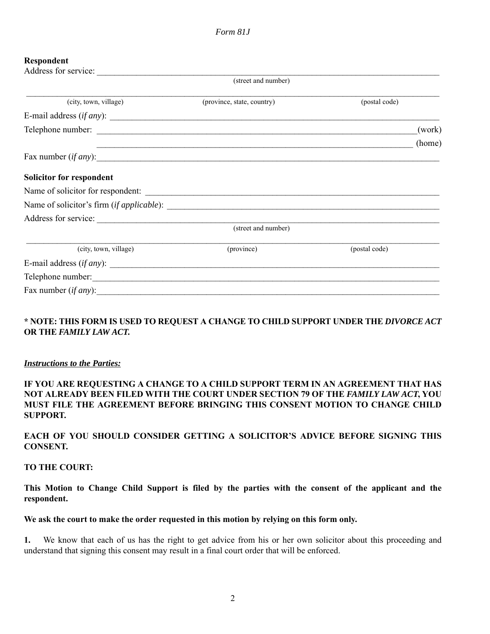### **Respondent**

|                             | (street and number)                                                              |               |        |
|-----------------------------|----------------------------------------------------------------------------------|---------------|--------|
| (city, town, village)       | (province, state, country)                                                       | (postal code) |        |
| E-mail address $(if any)$ : |                                                                                  |               |        |
|                             |                                                                                  |               | (work) |
|                             | ,我们也不能在这里的时候,我们也不能在这里的时候,我们也不能会在这里,我们也不能会在这里,我们也不能会在这里,我们也不能会在这里,我们也不能会不能会不能会不能会 |               | (home) |
| Fax number $(if any)$ :     |                                                                                  |               |        |
| Solicitor for respondent    |                                                                                  |               |        |
|                             |                                                                                  |               |        |
|                             |                                                                                  |               |        |
|                             |                                                                                  |               |        |
|                             | (street and number)                                                              |               |        |
| (city, town, village)       | (province)                                                                       | (postal code) |        |
| E-mail address $(if any)$ : |                                                                                  |               |        |
| Telephone number:           |                                                                                  |               |        |
| Fax number (if any):        |                                                                                  |               |        |

# **\* NOTE: THIS FORM IS USED TO REQUEST A CHANGE TO CHILD SUPPORT UNDER THE** *DIVORCE ACT* **OR THE** *FAMILY LAW ACT***.**

### *Instructions to the Parties:*

## **IF YOU ARE REQUESTING A CHANGE TO A CHILD SUPPORT TERM IN AN AGREEMENT THAT HAS NOT ALREADY BEEN FILED WITH THE COURT UNDER SECTION 79 OF THE** *FAMILY LAW ACT***, YOU MUST FILE THE AGREEMENT BEFORE BRINGING THIS CONSENT MOTION TO CHANGE CHILD SUPPORT.**

## **EACH OF YOU SHOULD CONSIDER GETTING A SOLICITOR'S ADVICE BEFORE SIGNING THIS CONSENT.**

### **TO THE COURT:**

**This Motion to Change Child Support is filed by the parties with the consent of the applicant and the respondent.**

### **We ask the court to make the order requested in this motion by relying on this form only.**

**1.** We know that each of us has the right to get advice from his or her own solicitor about this proceeding and understand that signing this consent may result in a final court order that will be enforced.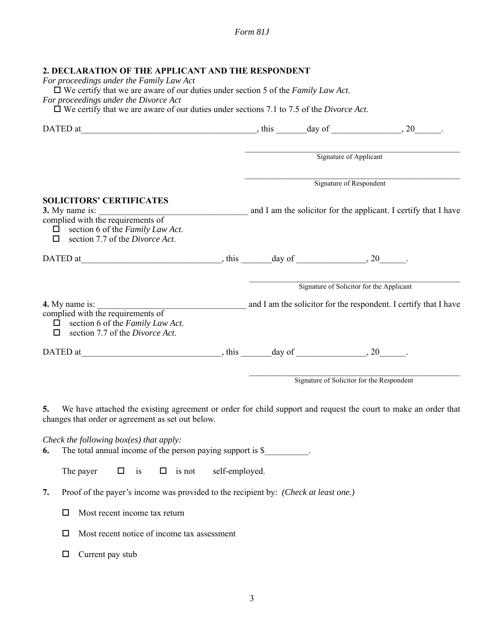| Form 81.J |  |
|-----------|--|
|           |  |

|                                                                                                                                                                                                                                                  |  | Signature of Applicant                                           |
|--------------------------------------------------------------------------------------------------------------------------------------------------------------------------------------------------------------------------------------------------|--|------------------------------------------------------------------|
|                                                                                                                                                                                                                                                  |  | Signature of Respondent                                          |
| <b>SOLICITORS' CERTIFICATES</b><br>3. My name is: complied with the requirements of and I am the solicitor for the applicant. I certify that I have<br>$\Box$ section 6 of the Family Law Act.<br>$\Box$ section 7.7 of the <i>Divorce Act</i> . |  |                                                                  |
|                                                                                                                                                                                                                                                  |  |                                                                  |
|                                                                                                                                                                                                                                                  |  | Signature of Solicitor for the Applicant                         |
| 4. My name is: $\frac{1}{\sqrt{1-\frac{1}{2}}}\left\vert \frac{1}{2}+1\right\rangle$<br>complied with the requirements of<br>$\Box$ section 6 of the Family Law Act.<br>$\Box$ section 7.7 of the <i>Divorce Act</i> .                           |  | and I am the solicitor for the respondent. I certify that I have |
|                                                                                                                                                                                                                                                  |  |                                                                  |
|                                                                                                                                                                                                                                                  |  | Signature of Solicitor for the Respondent                        |
| We have attached the existing agreement or order for child support and request the court to make an order that<br>5.<br>changes that order or agreement as set out below.                                                                        |  |                                                                  |
| Check the following box(es) that apply:<br>The total annual income of the person paying support is $\$<br>6.                                                                                                                                     |  |                                                                  |
| The payer<br>is not<br>self-employed.<br>$\Box$<br>is<br>$\Box$                                                                                                                                                                                  |  |                                                                  |
|                                                                                                                                                                                                                                                  |  |                                                                  |

- $\square$  Most recent income tax return
- $\Box$  Most recent notice of income tax assessment
- $\Box$  Current pay stub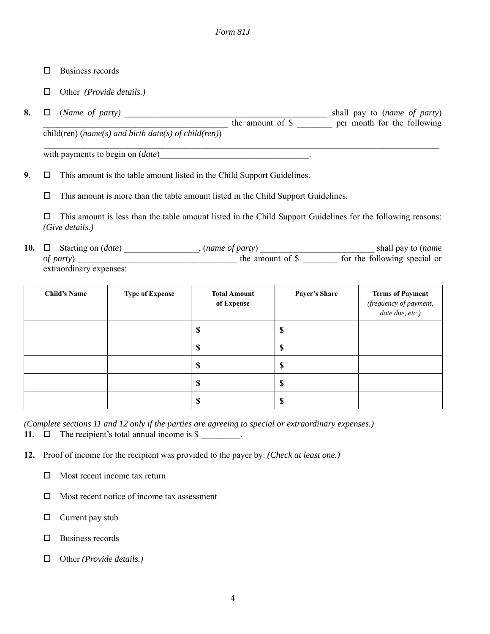- □ Business records
- □ Other *(Provide details.)*
- **8.**  $\Box$  (*Name of party*)  $\Box$  (*Name of party*)  $\Delta$  the amount of  $\hat{\mathcal{S}}$  are month for the following child(ren) (*name(s) and birth date(s) of child(ren)*)  $\mathcal{L}_\mathcal{L} = \{ \mathcal{L}_\mathcal{L} = \{ \mathcal{L}_\mathcal{L} = \{ \mathcal{L}_\mathcal{L} = \{ \mathcal{L}_\mathcal{L} = \{ \mathcal{L}_\mathcal{L} = \{ \mathcal{L}_\mathcal{L} = \{ \mathcal{L}_\mathcal{L} = \{ \mathcal{L}_\mathcal{L} = \{ \mathcal{L}_\mathcal{L} = \{ \mathcal{L}_\mathcal{L} = \{ \mathcal{L}_\mathcal{L} = \{ \mathcal{L}_\mathcal{L} = \{ \mathcal{L}_\mathcal{L} = \{ \mathcal{L}_\mathcal{$

with payments to begin on (*date*) example.

**9.**  $\Box$  This amount is the table amount listed in the Child Support Guidelines.

 $\Box$  This amount is more than the table amount listed in the Child Support Guidelines.

 $\Box$  This amount is less than the table amount listed in the Child Support Guidelines for the following reasons: *(Give details.)*

**10.** Starting on (*date*) \_\_\_\_\_\_\_\_\_\_\_\_\_\_\_\_\_, (*name of party*) \_\_\_\_\_\_\_\_\_\_\_\_\_\_\_\_\_\_\_\_\_\_\_\_\_\_ shall pay to (*name of party*) the amount of \$ for the following special or extraordinary expenses:

| <b>Child's Name</b> | <b>Type of Expense</b> | <b>Total Amount</b><br>of Expense | <b>Payer's Share</b> | <b>Terms of Payment</b><br>(frequency of payment,<br>date due, etc.) |
|---------------------|------------------------|-----------------------------------|----------------------|----------------------------------------------------------------------|
|                     |                        | ⋒<br>D                            | J                    |                                                                      |
|                     |                        | ۱D                                | ۰D                   |                                                                      |
|                     |                        | D                                 | Φ                    |                                                                      |
|                     |                        | ٨D                                | ۱D                   |                                                                      |
|                     |                        | Φ                                 | Φ                    |                                                                      |

*(Complete sections 11 and 12 only if the parties are agreeing to special or extraordinary expenses.)* **11.**  $\Box$  The recipient's total annual income is  $\$\$ .

- **12.** Proof of income for the recipient was provided to the payer by: *(Check at least one.)*
	- $\Box$  Most recent income tax return
	- $\Box$  Most recent notice of income tax assessment
	- $\Box$  Current pay stub
	- $\square$  Business records
	- □ Other *(Provide details.)*